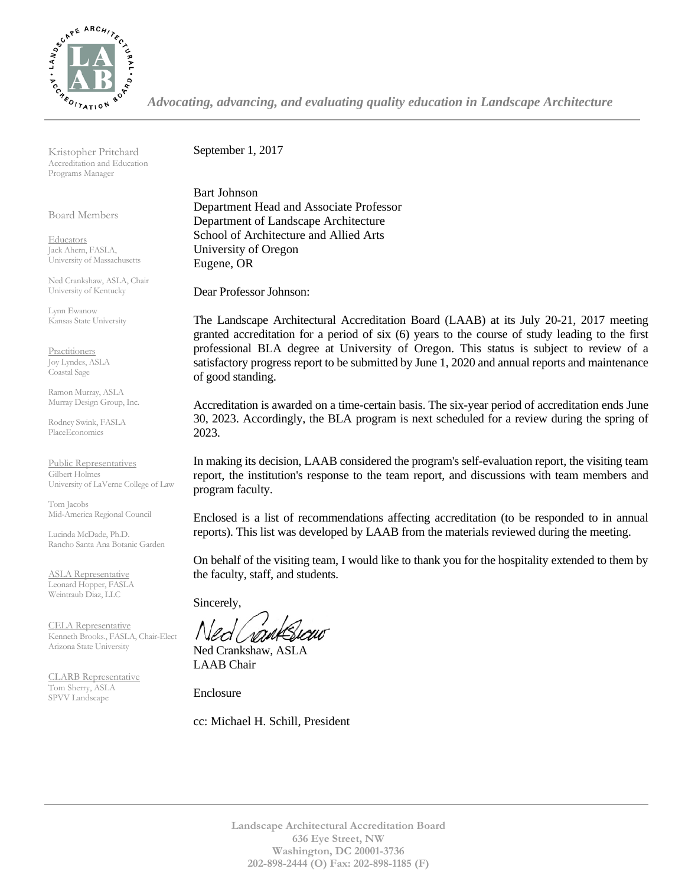

*Advocating, advancing, and evaluating quality education in Landscape Architecture*

Kristopher Pritchard Accreditation and Education Programs Manager

Board Members

**Educators** Jack Ahern, FASLA, University of Massachusetts

Ned Crankshaw, ASLA, Chair University of Kentucky

Lynn Ewanow Kansas State University

**Practitioners** Joy Lyndes, ASLA Coastal Sage

Ramon Murray, ASLA Murray Design Group, Inc.

Rodney Swink, FASLA PlaceEconomics

Public Representatives Gilbert Holmes University of LaVerne College of Law

Tom Jacobs Mid-America Regional Council

Lucinda McDade, Ph.D. Rancho Santa Ana Botanic Garden

ASLA Representative Leonard Hopper, FASLA Weintraub Diaz, LLC

CELA Representative Kenneth Brooks., FASLA, Chair-Elect Arizona State University

CLARB Representative Tom Sherry, ASLA SPVV Landscape

September 1, 2017

Bart Johnson Department Head and Associate Professor Department of Landscape Architecture School of Architecture and Allied Arts University of Oregon Eugene, OR

Dear Professor Johnson:

The Landscape Architectural Accreditation Board (LAAB) at its July 20-21, 2017 meeting granted accreditation for a period of six (6) years to the course of study leading to the first professional BLA degree at University of Oregon. This status is subject to review of a satisfactory progress report to be submitted by June 1, 2020 and annual reports and maintenance of good standing.

Accreditation is awarded on a time-certain basis. The six-year period of accreditation ends June 30, 2023. Accordingly, the BLA program is next scheduled for a review during the spring of 2023.

In making its decision, LAAB considered the program's self-evaluation report, the visiting team report, the institution's response to the team report, and discussions with team members and program faculty.

Enclosed is a list of recommendations affecting accreditation (to be responded to in annual reports). This list was developed by LAAB from the materials reviewed during the meeting.

On behalf of the visiting team, I would like to thank you for the hospitality extended to them by the faculty, staff, and students.

Sincerely,

Ned Crankshaw, ASLA LAAB Chair

Enclosure

cc: Michael H. Schill, President